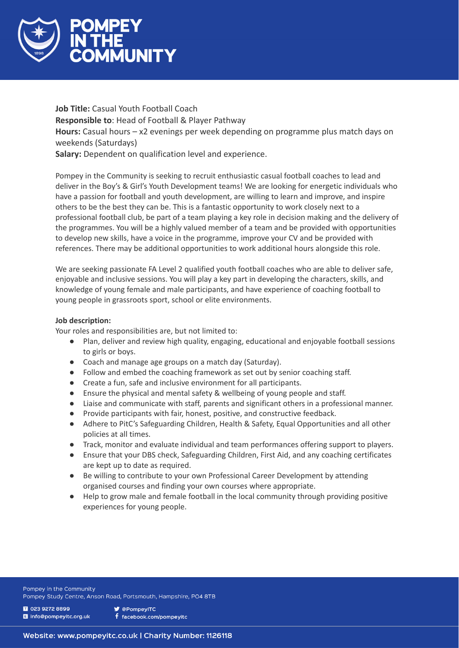

**Job Title:** Casual Youth Football Coach **Responsible to**: Head of Football & Player Pathway **Hours:** Casual hours – x2 evenings per week depending on programme plus match days on weekends (Saturdays) **Salary:** Dependent on qualification level and experience.

Pompey in the Community is seeking to recruit enthusiastic casual football coaches to lead and deliver in the Boy's & Girl's Youth Development teams! We are looking for energetic individuals who have a passion for football and youth development, are willing to learn and improve, and inspire others to be the best they can be. This is a fantastic opportunity to work closely next to a professional football club, be part of a team playing a key role in decision making and the delivery of the programmes. You will be a highly valued member of a team and be provided with opportunities to develop new skills, have a voice in the programme, improve your CV and be provided with references. There may be additional opportunities to work additional hours alongside this role.

We are seeking passionate FA Level 2 qualified youth football coaches who are able to deliver safe, enjoyable and inclusive sessions. You will play a key part in developing the characters, skills, and knowledge of young female and male participants, and have experience of coaching football to young people in grassroots sport, school or elite environments.

# **Job description:**

Your roles and responsibilities are, but not limited to:

- Plan, deliver and review high quality, engaging, educational and enjoyable football sessions to girls or boys.
- Coach and manage age groups on a match day (Saturday).
- Follow and embed the coaching framework as set out by senior coaching staff.
- Create a fun, safe and inclusive environment for all participants.
- Ensure the physical and mental safety & wellbeing of young people and staff.
- Liaise and communicate with staff, parents and significant others in a professional manner.
- Provide participants with fair, honest, positive, and constructive feedback.
- Adhere to PitC's Safeguarding Children, Health & Safety, Equal Opportunities and all other policies at all times.
- Track, monitor and evaluate individual and team performances offering support to players.
- Ensure that your DBS check, Safeguarding Children, First Aid, and any coaching certificates are kept up to date as required.
- Be willing to contribute to your own Professional Career Development by attending organised courses and finding your own courses where appropriate.
- Help to grow male and female football in the local community through providing positive experiences for young people.

Pompey in the Community Pompey Study Centre, Anson Road, Portsmouth, Hampshire, PO4 8TB

1 023 9272 8899 I info@pompeyitc.org.uk **V** @PompevITC f facebook.com/pompeyitc